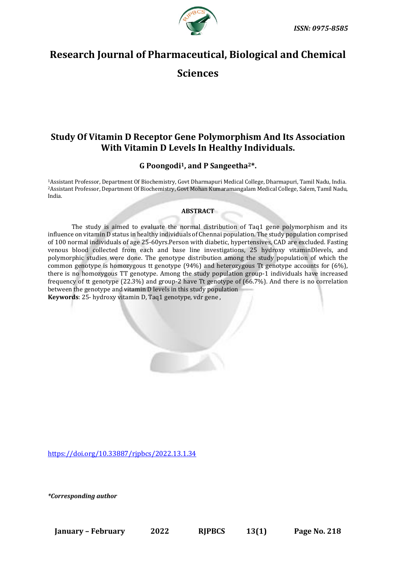

# **Research Journal of Pharmaceutical, Biological and Chemical**

**Sciences**

# **Study Of Vitamin D Receptor Gene Polymorphism And Its Association With Vitamin D Levels In Healthy Individuals.**

# **G Poongodi1, and P Sangeetha2\*.**

<sup>1</sup>Assistant Professor, Department Of Biochemistry, Govt Dharmapuri Medical College, Dharmapuri, Tamil Nadu, India. <sup>2</sup>Assistant Professor, Department Of Biochemistry, Govt Mohan Kumaramangalam Medical College, Salem, Tamil Nadu, India.

# **ABSTRACT**

The study is aimed to evaluate the normal distribution of Taq1 gene polymorphism and its influence on vitamin D status in healthy individuals of Chennai population. The study population comprised of 100 normal individuals of age 25-60yrs.Person with diabetic, hypertensives, CAD are excluded. Fasting venous blood collected from each and base line investigations, 25 hydroxy vitaminDlevels, and polymorphic studies were done. The genotype distribution among the study population of which the common genotype is homozygous tt genotype (94%) and heterozygous Tt genotype accounts for (6%), there is no homozygous TT genotype. Among the study population group-1 individuals have increased frequency of tt genotype (22.3%) and group-2 have Tt genotype of (66.7%). And there is no correlation between the genotype and vitamin D levels in this study population **Keywords**: 25- hydroxy vitamin D, Taq1 genotype, vdr gene ,

<https://doi.org/10.33887/rjpbcs/2022.13.1.34>

*\*Corresponding author*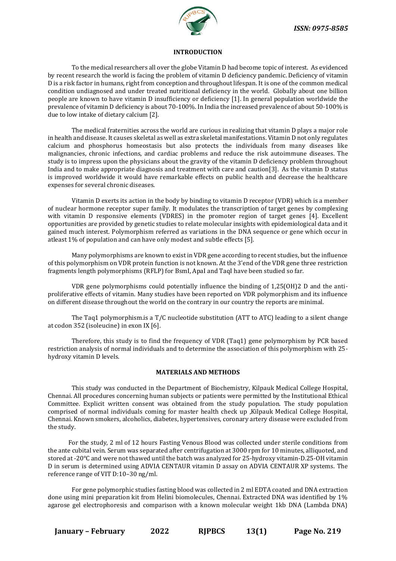

#### **INTRODUCTION**

To the medical researchers all over the globe Vitamin D had become topic of interest. As evidenced by recent research the world is facing the problem of vitamin D deficiency pandemic. Deficiency of vitamin D is a risk factor in humans, right from conception and throughout lifespan. It is one of the common medical condition undiagnosed and under treated nutritional deficiency in the world. Globally about one billion people are known to have vitamin D insufficiency or deficiency [1]. In general population worldwide the prevalence of vitamin D deficiency is about 70-100%. In India the increased prevalence of about 50-100% is due to low intake of dietary calcium [2].

The medical fraternities across the world are curious in realizing that vitamin D plays a major role in health and disease. It causes skeletal as well as extra skeletal manifestations. Vitamin D not only regulates calcium and phosphorus homeostasis but also protects the individuals from many diseases like malignancies, chronic infections, and cardiac problems and reduce the risk autoimmune diseases. The study is to impress upon the physicians about the gravity of the vitamin D deficiency problem throughout India and to make appropriate diagnosis and treatment with care and caution[3]. As the vitamin D status is improved worldwide it would have remarkable effects on public health and decrease the healthcare expenses for several chronic diseases.

Vitamin D exerts its action in the body by binding to vitamin D receptor (VDR) which is a member of nuclear hormone receptor super family. It modulates the transcription of target genes by complexing with vitamin D responsive elements (VDRES) in the promoter region of target genes [4]. Excellent opportunities are provided by genetic studies to relate molecular insights with epidemiological data and it gained much interest. Polymorphism referred as variations in the DNA sequence or gene which occur in atleast 1% of population and can have only modest and subtle effects [5].

Many polymorphisms are known to exist in VDR gene according to recent studies, but the influence of this polymorphism on VDR protein function is not known. At the 3'end of the VDR gene three restriction fragments length polymorphisms (RFLP) for BsmI, ApaI and TaqI have been studied so far.

VDR gene polymorphisms could potentially influence the binding of 1,25(OH)2 D and the antiproliferative effects of vitamin. Many studies have been reported on VDR polymorphism and its influence on different disease throughout the world on the contrary in our country the reports are minimal.

The Taq1 polymorphism.is a T/C nucleotide substitution (ATT to ATC) leading to a silent change at codon 352 (isoleucine) in exon IX [6].

Therefore, this study is to find the frequency of VDR (Taq1) gene polymorphism by PCR based restriction analysis of normal individuals and to determine the association of this polymorphism with 25 hydroxy vitamin D levels.

## **MATERIALS AND METHODS**

This study was conducted in the Department of Biochemistry, Kilpauk Medical College Hospital, Chennai. All procedures concerning human subjects or patients were permitted by the Institutional Ethical Committee. Explicit written consent was obtained from the study population. The study population comprised of normal individuals coming for master health check up ,Kilpauk Medical College Hospital, Chennai. Known smokers, alcoholics, diabetes, hypertensives, coronary artery disease were excluded from the study.

 For the study, 2 ml of 12 hours Fasting Venous Blood was collected under sterile conditions from the ante cubital vein. Serum was separated after centrifugation at 3000 rpm for 10 minutes, alliquoted, and stored at -20°C and were not thawed until the batch was analyzed for 25-hydroxy vitamin-D.25-OH vitamin D in serum is determined using ADVIA CENTAUR vitamin D assay on ADVIA CENTAUR XP systems. The reference range of VIT D:10–30 ng/ml.

For gene polymorphic studies fasting blood was collected in 2 ml EDTA coated and DNA extraction done using mini preparation kit from Helini biomolecules, Chennai. Extracted DNA was identified by 1% agarose gel electrophoresis and comparison with a known molecular weight 1kb DNA (Lambda DNA)

**January – February 2022 RJPBCS 13(1) Page No. 219**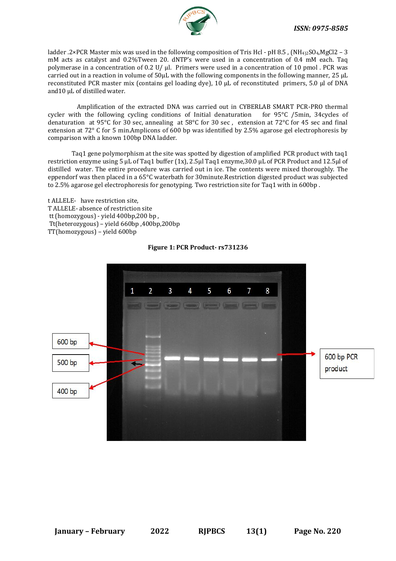

ladder .2×PCR Master mix was used in the following composition of Tris Hcl - pH 8.5 , (NH<sub>4)2</sub>SO<sub>4</sub>,MgCl2 – 3 mM acts as catalyst and 0.2%Tween 20. dNTP's were used in a concentration of 0.4 mM each. Taq polymerase in a concentration of 0.2 U/  $\mu$ l. Primers were used in a concentration of 10 pmol. PCR was carried out in a reaction in volume of 50µL with the following components in the following manner, 25 µL reconstituted PCR master mix (contains gel loading dye), 10 µL of reconstituted primers, 5.0 µl of DNA and 10 µL of distilled water.

 Amplification of the extracted DNA was carried out in CYBERLAB SMART PCR-PRO thermal cycler with the following cycling conditions of Initial denaturation for 95°C /5min, 34cycles of denaturation at 95°C for 30 sec, annealing at 58°C for 30 sec , extension at 72°C for 45 sec and final extension at 72° C for 5 min.Amplicons of 600 bp was identified by 2.5% agarose gel electrophoresis by comparison with a known 100bp DNA ladder.

Taq1 gene polymorphism at the site was spotted by digestion of amplified PCR product with taq1 restriction enzyme using 5 µL of Taq1 buffer (1x), 2.5µl Taq1 enzyme,30.0 µL of PCR Product and 12.5µl of distilled water. The entire procedure was carried out in ice. The contents were mixed thoroughly. The eppendorf was then placed in a 65°C waterbath for 30minute.Restriction digested product was subjected to 2.5% agarose gel electrophoresis for genotyping. Two restriction site for Taq1 with in 600bp .

t ALLELE- have restriction site, T ALLELE- absence of restriction site tt (homozygous) - yield 400bp,200 bp , Tt(heterozygous) – yield 660bp ,400bp,200bp TT(homozygous) – yield 600bp



# **Figure 1: PCR Product- rs731236**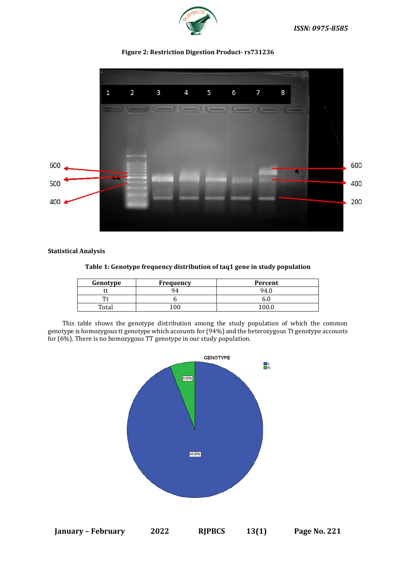

 $\mathbf{1}$  $\overline{2}$ 3  $\overline{4}$ 5 6 8 7 600 600 500 400 200 400

# **Figure 2: Restriction Digestion Product- rs731236**

# **Statistical Analysis**

| Genotype | <b>Frequency</b> | Percent |  |
|----------|------------------|---------|--|
| u        | 94               | 94      |  |
| π.       |                  | v.u     |  |
| Total    |                  | 100.    |  |

# **Table 1: Genotype frequency distribution of taq1 gene in study population**

 This table shows the genotype distribution among the study population of which the common genotype is homozygous tt genotype which accounts for (94%) and the heterozygous Tt genotype accounts for (6%). There is no homozygous TT genotype in our study population.



**January – February 2022 RJPBCS 13(1) Page No. 221**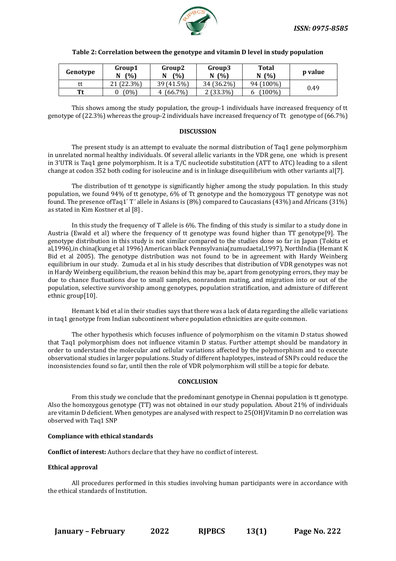

| Genotype | Group1<br>(% )<br>N | Group2<br>(%)<br>N | Group3<br>(%)<br>N | <b>Total</b><br>(%)<br>N | p value |
|----------|---------------------|--------------------|--------------------|--------------------------|---------|
| tt       | 21 (22.3%)          | 39 (41.5%)         | 34 (36.2%)         | 94 (100%)                | 0.49    |
| Tt       | (0%)                | $(66.7\%)$<br>4    | $2(33.3\%)$        | $(100\%)$<br>o           |         |

# **Table 2: Correlation between the genotype and vitamin D level in study population**

This shows among the study population, the group-1 individuals have increased frequency of tt genotype of (22.3%) whereas the group-2 individuals have increased frequency of Tt genotype of (66.7%)

# **DISCUSSION**

The present study is an attempt to evaluate the normal distribution of Taq1 gene polymorphism in unrelated normal healthy individuals. Of several allelic variants in the VDR gene, one which is present in 3'UTR is Taq1 gene polymorphism. It is a T/C nucleotide substitution (ATT to ATC) leading to a silent change at codon 352 both coding for isoleucine and is in linkage disequilibrium with other variants all  $7$ .

The distribution of tt genotype is significantly higher among the study population. In this study population, we found 94% of tt genotype, 6% of Tt genotype and the homozygous TT genotype was not found. The presence of Taq1'T' allele in Asians is (8%) compared to Caucasians (43%) and Africans (31%) as stated in Kim Kostner et al [8] .

In this study the frequency of T allele is 6%. The finding of this study is similar to a study done in Austria (Ewald et al) where the frequency of tt genotype was found higher than TT genotype[9]. The genotype distribution in this study is not similar compared to the studies done so far in Japan (Tokita et al,1996),in china(kung et al 1996) American black Pennsylvania(zumudaetal,1997), NorthIndia (Hemant K Bid et al 2005). The genotype distribution was not found to be in agreement with Hardy Weinberg equilibrium in our study. Zumuda et al in his study describes that distribution of VDR genotypes was not in Hardy Weinberg equilibrium, the reason behind this may be, apart from genotyping errors, they may be due to chance fluctuations due to small samples, nonrandom mating, and migration into or out of the population, selective survivorship among genotypes, population stratification, and admixture of different ethnic group[10].

Hemant k bid et al in their studies says that there was a lack of data regarding the allelic variations in taq1 genotype from Indian subcontinent where population ethnicities are quite common.

The other hypothesis which focuses influence of polymorphism on the vitamin D status showed that Taq1 polymorphism does not influence vitamin D status. Further attempt should be mandatory in order to understand the molecular and cellular variations affected by the polymorphism and to execute observational studies in larger populations. Study of different haplotypes, instead of SNPs could reduce the inconsistencies found so far, until then the role of VDR polymorphism will still be a topic for debate.

## **CONCLUSION**

From this study we conclude that the predominant genotype in Chennai population is tt genotype. Also the homozygous genotype (TT) was not obtained in our study population. About 21% of individuals are vitamin D deficient. When genotypes are analysed with respect to 25(OH)Vitamin D no correlation was observed with Taq1 SNP

## **Compliance with ethical standards**

**Conflict of interest:** Authors declare that they have no conflict of interest.

## **Ethical approval**

All procedures performed in this studies involving human participants were in accordance with the ethical standards of Institution.